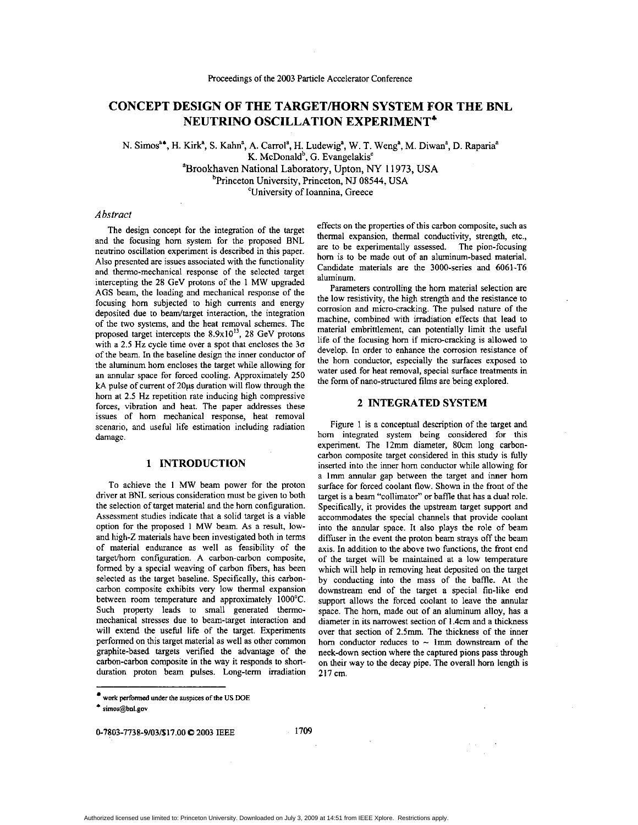# **CONCEPT DESIGN OF THE TARGET/HORN SYSTEM FOR THE BNL NEUTRINO OSCILLATION EXPERIMENT\***

N. Simos<sup>a</sup>\*, H. Kirk<sup>a</sup>, S. Kahn<sup>a</sup>, A. Carrol<sup>a</sup>, H. Ludewig<sup>a</sup>, W. T. Weng<sup>a</sup>, M. Diwan<sup>a</sup>, D. Raparia<sup>a</sup> K. McDonald<sup>b</sup>, G. Evangelakis<sup>c</sup> aBrookhaven National Laboratoty, Upton, *NY* 11973, **USA**  <sup>b</sup>Princeton University, Princeton, NJ 08544, USA

'University of Ioannina, Greece

# *Abstract*

The design concept for the integration of the target and the focusing horn system for the proposed BNL neutrino oscillation experiment is described in this paper. Also presented are issues associated with the functionality and thermo-mechanical response of the selected target intercepting the 28 GeV protons of the **1** MW upgraded AGS beam, the loading and mechanical response of the focusing horn subjected to high currents and energy deposited due to beam/target interaction, the integration of the two systems, and the heat removal schemes. The proposed target intercepts the  $8.9x10^{13}$ , 28 GeV protons with a 2.5 **Hz** cycle time over a spot that encloses the **30**  of the beam. In the baseline design the inner conductor of the aluminum horn encloses the target while allowing for an annular space for forced cooling. Approximately 250 kA pulse of current of 20*us* duration will flow through the horn at 2.5 **Hz** repetition rate inducing high compressive forces, vibration and heat. The paper addresses these issues of horn mechanical response, heat removal scenario, and useful life estimation including radiation damage.

# **1 INTRODUCTION**

To achieve the **1** MW beam power for the proton driver at BNL serious consideration must be given to both the selection of target material and the horn configuration. Assessment studies indicate that a solid target is a viable option for the proposed **1** MW beam. As a result, lowand high-Z materials have been investigated both in terms of material endurance **as** well as feasibility of the targethorn configuration. A carbon-carbon composite, formed by a special weaving of carbon fibers, has been selected as the target baseline. Specifically, this carboncarbon composite exhibits very low thermal expansion between room temperature and approximately 1000°C. Such property leads to small generated thermomechanical stresses due to heam-target interaction and will extend the useful life of the target. Experiments performed on this target material as well **as** other common graphite-based targets verified the advantage of the carbon-carbon composite in the way it responds to shortduration proton beam pulses. Long-term irradiation

**work performed under the auspices of ule US DOE** .. **[runos@bnl.gov](mailto:runos@bnl.gov)** 

**Q7803-7738-9/03PS17.00** *0* **<sup>2003</sup>IEEE <sup>1709</sup>**

effects on the properties of this carbon composite, such as thermal expansion, thermal conductivity, strength, etc., are to be experimentally assessed. The pion-focusing horn is to be made out of an aluminum-based material. Candidate materials are the 3000-series and 6061-T6 aluminum.

Parameters controlling the horn material selection are the low resistivity, the high strength and the resistance to corrosion and micro-cracking. The pulsed nature of the machine, combined with irradiation effects that lead to material embrittlement, can potentially limit the useful life of the focusing horn if micro-cracking is allowed to develop. In order to enhance the corrosion resistance of the horn conductor, especially the surfaces exposed to water used for heat removal, special surface treatments in the form of nano-structured films are being explored.

## **2 INTEGRATED SYSTEM**

[Figure](#page-1-0) 1 is a conceptual description of the target and horn integrated system being considered for this experiment. The 12mm diameter, 80cm long carboncarbon composite target considered in this study is fully inserted into the inner horn conductor while allowing for a Imm annular gap between the target and inner horn surface for forced coolant flow. Shown in the front of the target is a beam "collimator" or baffle that has a dual role. Specifically, it provides the upstream target support and accommodates the special channels that provide coolant into the annular space. It also plays the role of beam diffuser in the event the proton beam strays off the beam axis. In addition to the above two functions, the front end of the target will be maintained at a low temperature which will help in removing heat deposited on the target by conducting into the mass of the baffle. At the downstream end of the target a special fin-like end support allows the forced coolant to leave the annular space. The horn, made out of **an** aluminum alloy, has a diameter in its narrowest section of 1.4cm and a thickness over that section of 2.5mm. The thickness of the inner hom conductor reduces to  $\sim$  1mm downstream of the neck-down section where the captured **pions** pass through on their way to the decay pipe. The overall horn length is 217cm.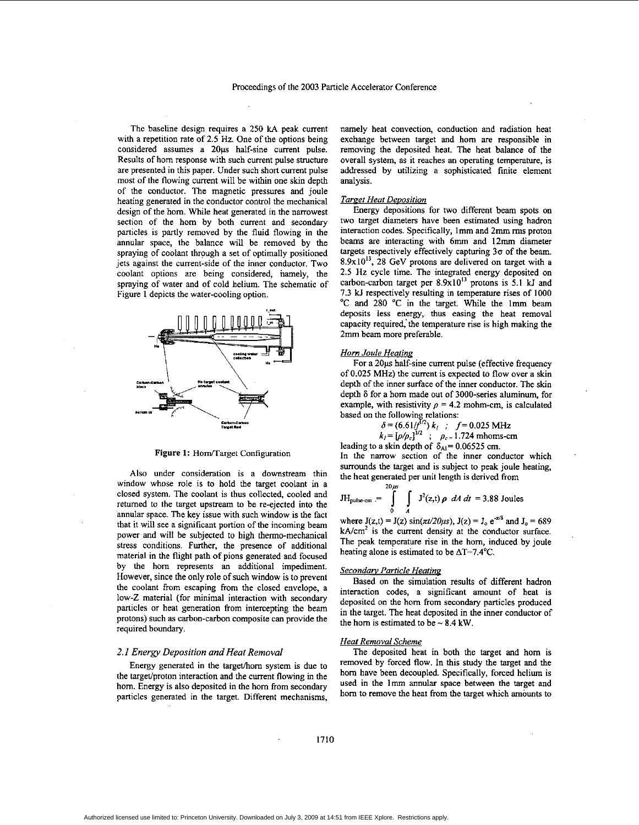<span id="page-1-0"></span>The baseline design requires a 250 **kA** peak current with a repetition rate of 2.5 Hz. One of the options being considered assumes a 20us half-sine current pulse. Results of horn response with such current pulse structure are presented in this paper. Under such short current pulse most of the flowing current will be within one skin depth of the conductor. The magnetic pressures and joule heating generated in the conductor control the mechanical design of the horn. While heat generated in the narrowest section of the horn by both current and secondary particles is partly removed by the fluid flowing in the annular space, the balance will be removed by the spraying of coolant through a set of optimally positioned jets against the current-side of the inner conductor. Two coolant options are being considered, namely, the spraying of water and of cold helium. The schematic of Figure **1** depicts the water-cooling option.



**Figure 1: HomTarget** Configuration

Also under consideration is a downstream thin window whose role is to hold the target coolant in a closed system. The coolant **is** thus collected, cooled and returned to the target upstream to be re-ejected into the annular space. The key issue with such window is the fact that it will see a significant portion of the incoming beam power and will be subjected to high thenno-mechanical stress conditions. Further, the presence of additional material in the flight path of pions generated and focused by the horn represents an additional impediment. However, since the only role of such window **is** to prevent the coolant from escaping from the closed envelope, a low-Z material (for minimal interaction with secondary particles or heat generation from intercepting the beam protons) such as carbon-carbon composite can provide the required boundary.

#### *2.1 Energy Deposition and Heat Removal*

Energy generated in the target/horn system is due to the target/proton interaction and the current flowing in the horn. Energy is also deposited in the horn from secondary panicles generated in the target. Different mechanisms, namely heat convection, conduction and radiation heat exchange between target and horn are responsible in removing the deposited heat. The heat balance of the overall system, as it reaches an operating temperahue, is addressed by utilizing a sophisticated finite element analysis.

#### *Tareet Heat DeDosition*

Energy depositions for two different beam spots **on**  two target diameters have been estimated using hadron interaction codes. Specifically, Imm and 2mm **nns** proton beams are interacting with 6mm and **12mm** diameter targets respectively effectively capturing *30* of the beam.  $8.9x10^{13}$ , 28 GeV protons are delivered on target with a 2.5 Hz cycle time. The integrated energy deposited on carbon-carbon target per 8.9x101' protons **is** 5.1 **kJ** and 7.3 **U** respectively resulting in temperature rises of **<sup>1000</sup>** 'C and 280 'C **in** the target. While the Imm beam deposits less energy, thus easing the heat removal capacity required, the temperature rise is high making the 2mm beam more preferable.

#### *Horn Joule Heating*

For a 20us half-sine current pulse (effective frequency) of 0.025 **MHz)** the current **is** expected to flow overa skin depth of the inner surface of the inner conductor. The skin depth **6** for a horn made out of 3000-series aluminum, for example, with resistivity  $\rho = 4.2$  mohm-cm, is calculated based on the following relations:<br> $\delta = (6.61/f^{1/2}) k$ ,  $f = 0.025 \text{ MHz}$ 

$$
\delta = (6.61/f^{1/2}) k_1 ; f = 0.025 \text{ MHz}
$$
  

$$
k_1 = [\rho/\rho_c]^{1/2} ; \rho_c = 1.724 \text{ mboms-cm}
$$

leading to a skin depth of  $\delta_{Al} = 0.06525$  cm.

In the narrow section of the inner conductor which surrounds the target and is subject to peak joule heating, the heat generated per unit length is derived from

$$
JH_{pulse-cm} = \int_{0}^{2\pi} \int_{A} J^{2}(z,t) \rho \ dA \ dt = 3.88 \text{ Joules}
$$

where  $J(z,t) = J(z) \sin(\pi t/20\mu s)$ ,  $J(z) = J_0 e^{-z/6}$  and  $J_0 = 689$  $kA/cm<sup>2</sup>$  is the current density at the conductor surface. The peak temperature rise in the horn, induced by joule heating alone is estimated to be  $\Delta T = 7.4$ °C.

#### *Secondan, Particle Heating*

Based **on** the simulation results of different hadron interaction codes, a significant amount of heat is deposited on the hom from secondary particles produced in the target. The heat deposited in the inner conductor of the horn is estimated to be  $\sim 8.4$  kW.

#### *Heat Removal Scheme*

The deposited heat in both the target and horn is removed by forced flow. In this study the target and the bom have been decoupled. Specifically, forced helium is used in the Imm annular space between the target and horn to remove the heat from the target which amounts to